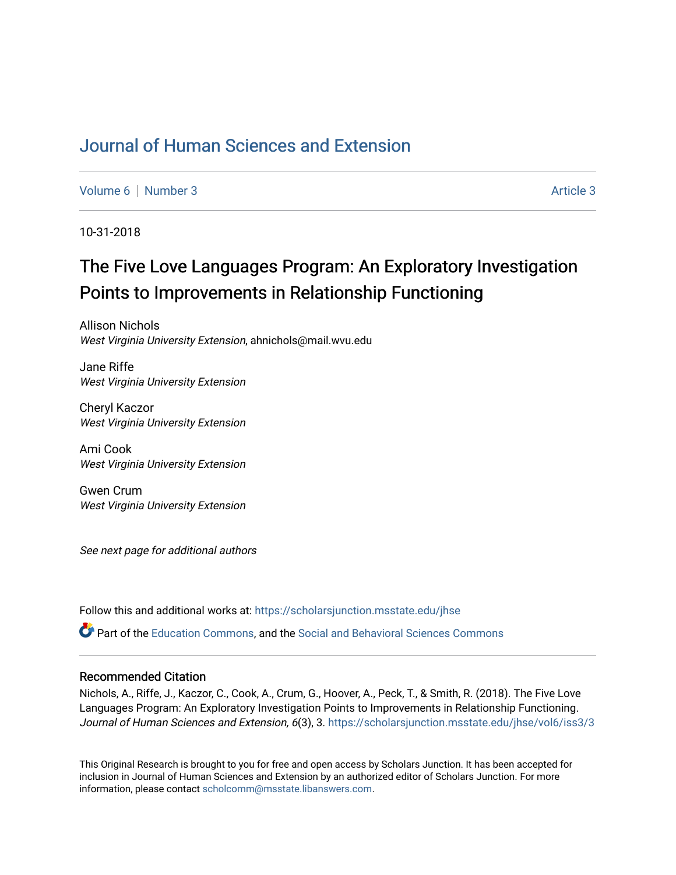## [Journal of Human Sciences and Extension](https://scholarsjunction.msstate.edu/jhse)

[Volume 6](https://scholarsjunction.msstate.edu/jhse/vol6) | [Number 3](https://scholarsjunction.msstate.edu/jhse/vol6/iss3) Article 3

10-31-2018

# The Five Love Languages Program: An Exploratory Investigation Points to Improvements in Relationship Functioning

Allison Nichols West Virginia University Extension, ahnichols@mail.wvu.edu

Jane Riffe West Virginia University Extension

Cheryl Kaczor West Virginia University Extension

Ami Cook West Virginia University Extension

Gwen Crum West Virginia University Extension

See next page for additional authors

Follow this and additional works at: [https://scholarsjunction.msstate.edu/jhse](https://scholarsjunction.msstate.edu/jhse?utm_source=scholarsjunction.msstate.edu%2Fjhse%2Fvol6%2Fiss3%2F3&utm_medium=PDF&utm_campaign=PDFCoverPages)

Part of the [Education Commons](http://network.bepress.com/hgg/discipline/784?utm_source=scholarsjunction.msstate.edu%2Fjhse%2Fvol6%2Fiss3%2F3&utm_medium=PDF&utm_campaign=PDFCoverPages), and the [Social and Behavioral Sciences Commons](http://network.bepress.com/hgg/discipline/316?utm_source=scholarsjunction.msstate.edu%2Fjhse%2Fvol6%2Fiss3%2F3&utm_medium=PDF&utm_campaign=PDFCoverPages) 

#### Recommended Citation

Nichols, A., Riffe, J., Kaczor, C., Cook, A., Crum, G., Hoover, A., Peck, T., & Smith, R. (2018). The Five Love Languages Program: An Exploratory Investigation Points to Improvements in Relationship Functioning. Journal of Human Sciences and Extension, 6(3), 3. https://scholarsjunction.msstate.edu/jhse/vol6/iss3/3

This Original Research is brought to you for free and open access by Scholars Junction. It has been accepted for inclusion in Journal of Human Sciences and Extension by an authorized editor of Scholars Junction. For more information, please contact [scholcomm@msstate.libanswers.com](mailto:scholcomm@msstate.libanswers.com).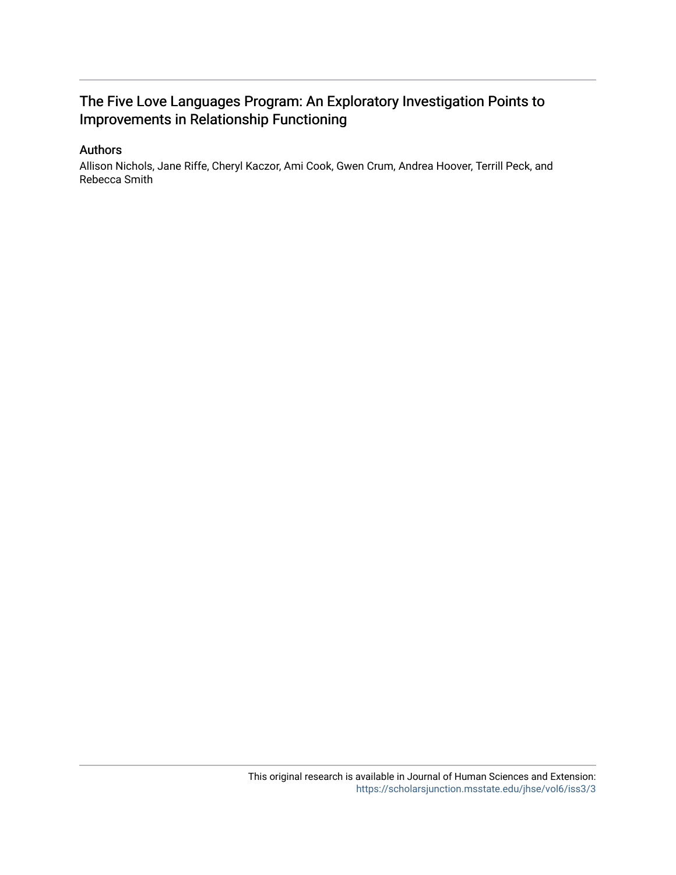## The Five Love Languages Program: An Exploratory Investigation Points to Improvements in Relationship Functioning

#### Authors

Allison Nichols, Jane Riffe, Cheryl Kaczor, Ami Cook, Gwen Crum, Andrea Hoover, Terrill Peck, and Rebecca Smith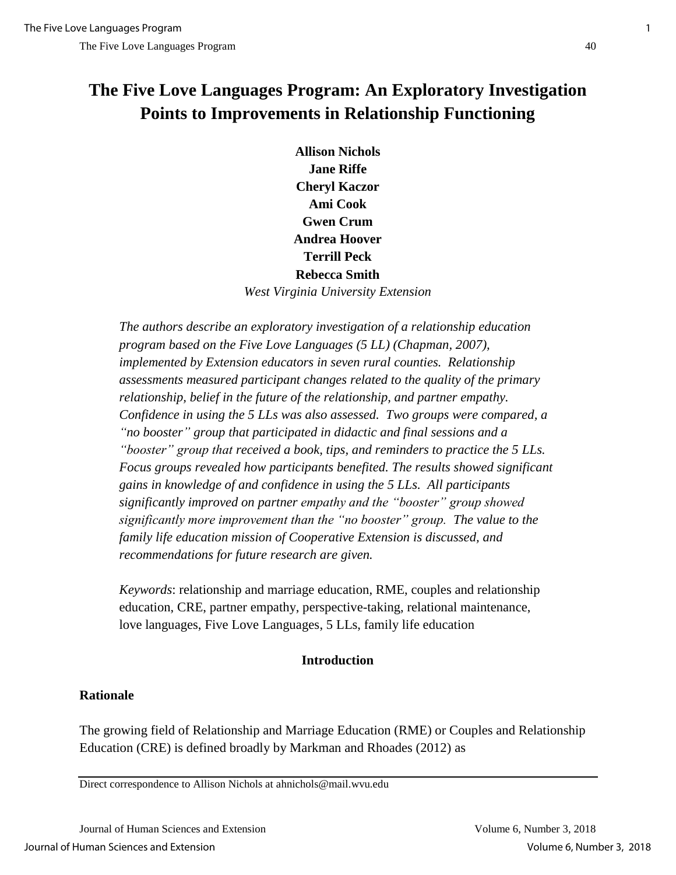## **The Five Love Languages Program: An Exploratory Investigation Points to Improvements in Relationship Functioning**

**Allison Nichols Jane Riffe Cheryl Kaczor Ami Cook Gwen Crum Andrea Hoover Terrill Peck Rebecca Smith**  *West Virginia University Extension*

*The authors describe an exploratory investigation of a relationship education program based on the Five Love Languages (5 LL) (Chapman, 2007), implemented by Extension educators in seven rural counties. Relationship assessments measured participant changes related to the quality of the primary relationship, belief in the future of the relationship, and partner empathy. Confidence in using the 5 LLs was also assessed. Two groups were compared, a "no booster" group that participated in didactic and final sessions and a "booster" group that received a book, tips, and reminders to practice the 5 LLs. Focus groups revealed how participants benefited. The results showed significant gains in knowledge of and confidence in using the 5 LLs. All participants significantly improved on partner empathy and the "booster" group showed significantly more improvement than the "no booster" group. The value to the family life education mission of Cooperative Extension is discussed, and recommendations for future research are given.*

*Keywords*: relationship and marriage education, RME, couples and relationship education, CRE, partner empathy, perspective-taking, relational maintenance, love languages, Five Love Languages, 5 LLs, family life education

## **Introduction**

## **Rationale**

The growing field of Relationship and Marriage Education (RME) or Couples and Relationship Education (CRE) is defined broadly by Markman and Rhoades (2012) as

Direct correspondence to Allison Nichols at ahnichols@mail.wvu.edu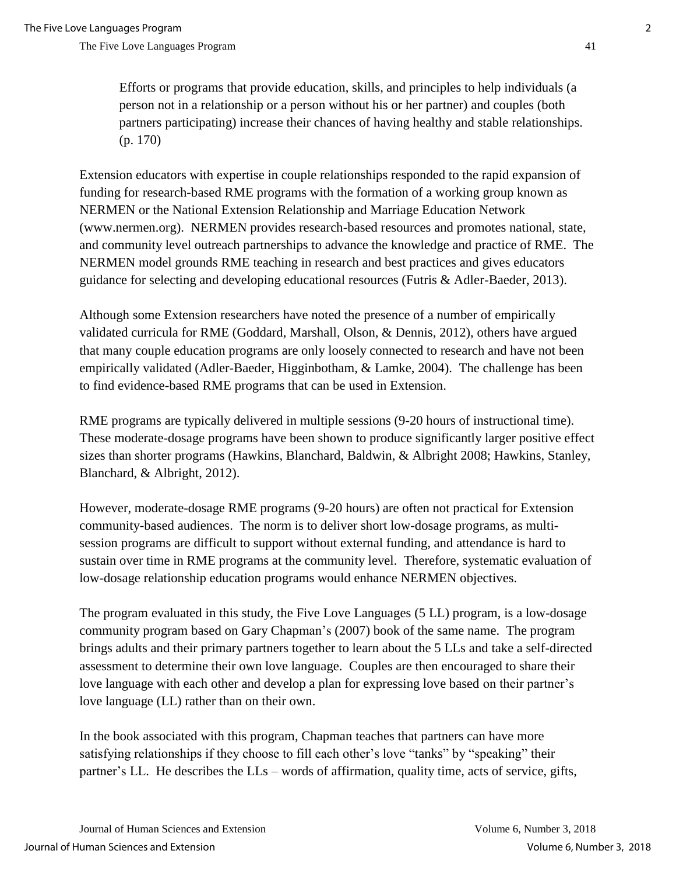Efforts or programs that provide education, skills, and principles to help individuals (a person not in a relationship or a person without his or her partner) and couples (both partners participating) increase their chances of having healthy and stable relationships. (p. 170)

Extension educators with expertise in couple relationships responded to the rapid expansion of funding for research-based RME programs with the formation of a working group known as NERMEN or the National Extension Relationship and Marriage Education Network (www.nermen.org). NERMEN provides research-based resources and promotes national, state, and community level outreach partnerships to advance the knowledge and practice of RME. The NERMEN model grounds RME teaching in research and best practices and gives educators guidance for selecting and developing educational resources (Futris & Adler-Baeder, 2013).

Although some Extension researchers have noted the presence of a number of empirically validated curricula for RME (Goddard, Marshall, Olson, & Dennis, 2012), others have argued that many couple education programs are only loosely connected to research and have not been empirically validated (Adler-Baeder, Higginbotham, & Lamke, 2004). The challenge has been to find evidence-based RME programs that can be used in Extension.

RME programs are typically delivered in multiple sessions (9-20 hours of instructional time). These moderate-dosage programs have been shown to produce significantly larger positive effect sizes than shorter programs (Hawkins, Blanchard, Baldwin, & Albright 2008; Hawkins, Stanley, Blanchard, & Albright, 2012).

However, moderate-dosage RME programs (9-20 hours) are often not practical for Extension community-based audiences. The norm is to deliver short low-dosage programs, as multisession programs are difficult to support without external funding, and attendance is hard to sustain over time in RME programs at the community level. Therefore, systematic evaluation of low-dosage relationship education programs would enhance NERMEN objectives.

The program evaluated in this study, the Five Love Languages (5 LL) program, is a low-dosage community program based on Gary Chapman's (2007) book of the same name. The program brings adults and their primary partners together to learn about the 5 LLs and take a self-directed assessment to determine their own love language. Couples are then encouraged to share their love language with each other and develop a plan for expressing love based on their partner's love language (LL) rather than on their own.

In the book associated with this program, Chapman teaches that partners can have more satisfying relationships if they choose to fill each other's love "tanks" by "speaking" their partner's LL. He describes the LLs – words of affirmation, quality time, acts of service, gifts,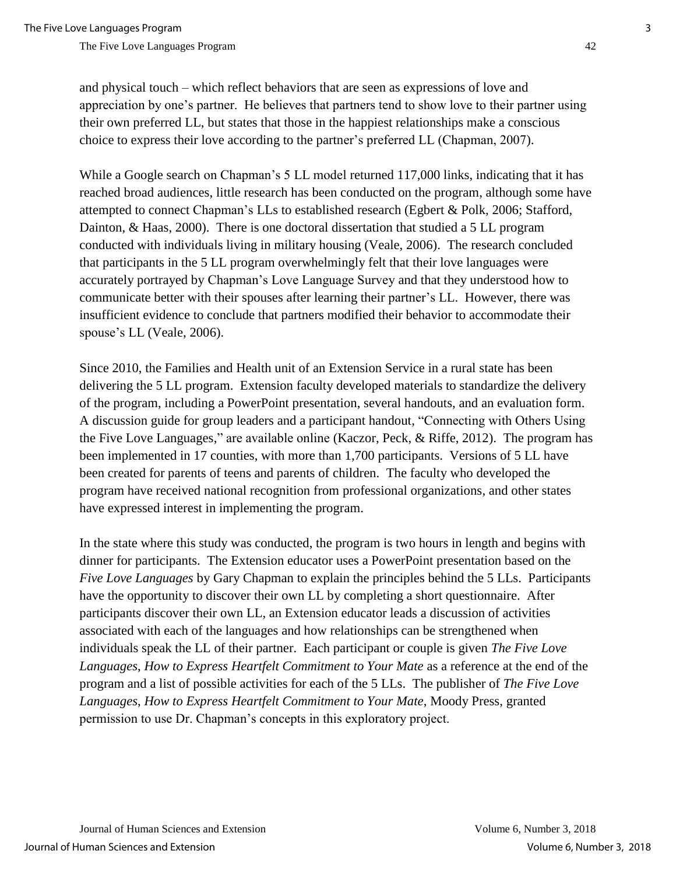and physical touch – which reflect behaviors that are seen as expressions of love and appreciation by one's partner. He believes that partners tend to show love to their partner using their own preferred LL, but states that those in the happiest relationships make a conscious choice to express their love according to the partner's preferred LL (Chapman, 2007).

While a Google search on Chapman's 5 LL model returned 117,000 links, indicating that it has reached broad audiences, little research has been conducted on the program, although some have attempted to connect Chapman's LLs to established research (Egbert & Polk, 2006; Stafford, Dainton, & Haas, 2000). There is one doctoral dissertation that studied a 5 LL program conducted with individuals living in military housing (Veale, 2006). The research concluded that participants in the 5 LL program overwhelmingly felt that their love languages were accurately portrayed by Chapman's Love Language Survey and that they understood how to communicate better with their spouses after learning their partner's LL. However, there was insufficient evidence to conclude that partners modified their behavior to accommodate their spouse's LL (Veale, 2006).

Since 2010, the Families and Health unit of an Extension Service in a rural state has been delivering the 5 LL program. Extension faculty developed materials to standardize the delivery of the program, including a PowerPoint presentation, several handouts, and an evaluation form. A discussion guide for group leaders and a participant handout, "Connecting with Others Using the Five Love Languages," are available online (Kaczor, Peck, & Riffe, 2012). The program has been implemented in 17 counties, with more than 1,700 participants. Versions of 5 LL have been created for parents of teens and parents of children. The faculty who developed the program have received national recognition from professional organizations, and other states have expressed interest in implementing the program.

In the state where this study was conducted, the program is two hours in length and begins with dinner for participants. The Extension educator uses a PowerPoint presentation based on the *Five Love Languages* by Gary Chapman to explain the principles behind the 5 LLs. Participants have the opportunity to discover their own LL by completing a short questionnaire. After participants discover their own LL, an Extension educator leads a discussion of activities associated with each of the languages and how relationships can be strengthened when individuals speak the LL of their partner. Each participant or couple is given *The Five Love Languages*, *How to Express Heartfelt Commitment to Your Mate* as a reference at the end of the program and a list of possible activities for each of the 5 LLs. The publisher of *The Five Love Languages*, *How to Express Heartfelt Commitment to Your Mate*, Moody Press, granted permission to use Dr. Chapman's concepts in this exploratory project.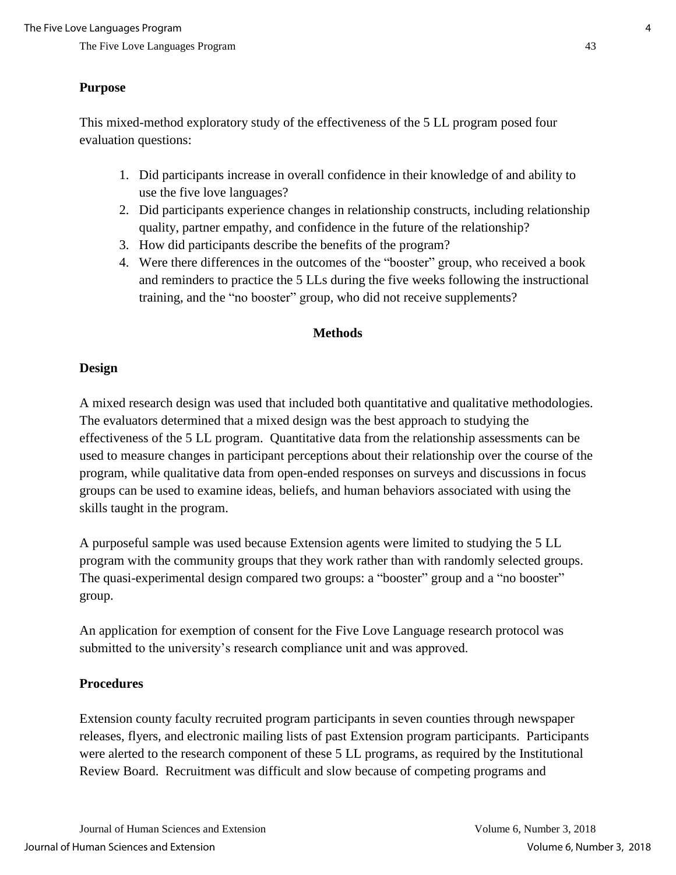#### **Purpose**

This mixed-method exploratory study of the effectiveness of the 5 LL program posed four evaluation questions:

- 1. Did participants increase in overall confidence in their knowledge of and ability to use the five love languages?
- 2. Did participants experience changes in relationship constructs, including relationship quality, partner empathy, and confidence in the future of the relationship?
- 3. How did participants describe the benefits of the program?
- 4. Were there differences in the outcomes of the "booster" group, who received a book and reminders to practice the 5 LLs during the five weeks following the instructional training, and the "no booster" group, who did not receive supplements?

#### **Methods**

#### **Design**

A mixed research design was used that included both quantitative and qualitative methodologies. The evaluators determined that a mixed design was the best approach to studying the effectiveness of the 5 LL program. Quantitative data from the relationship assessments can be used to measure changes in participant perceptions about their relationship over the course of the program, while qualitative data from open-ended responses on surveys and discussions in focus groups can be used to examine ideas, beliefs, and human behaviors associated with using the skills taught in the program.

A purposeful sample was used because Extension agents were limited to studying the 5 LL program with the community groups that they work rather than with randomly selected groups. The quasi-experimental design compared two groups: a "booster" group and a "no booster" group.

An application for exemption of consent for the Five Love Language research protocol was submitted to the university's research compliance unit and was approved.

#### **Procedures**

Extension county faculty recruited program participants in seven counties through newspaper releases, flyers, and electronic mailing lists of past Extension program participants. Participants were alerted to the research component of these 5 LL programs, as required by the Institutional Review Board. Recruitment was difficult and slow because of competing programs and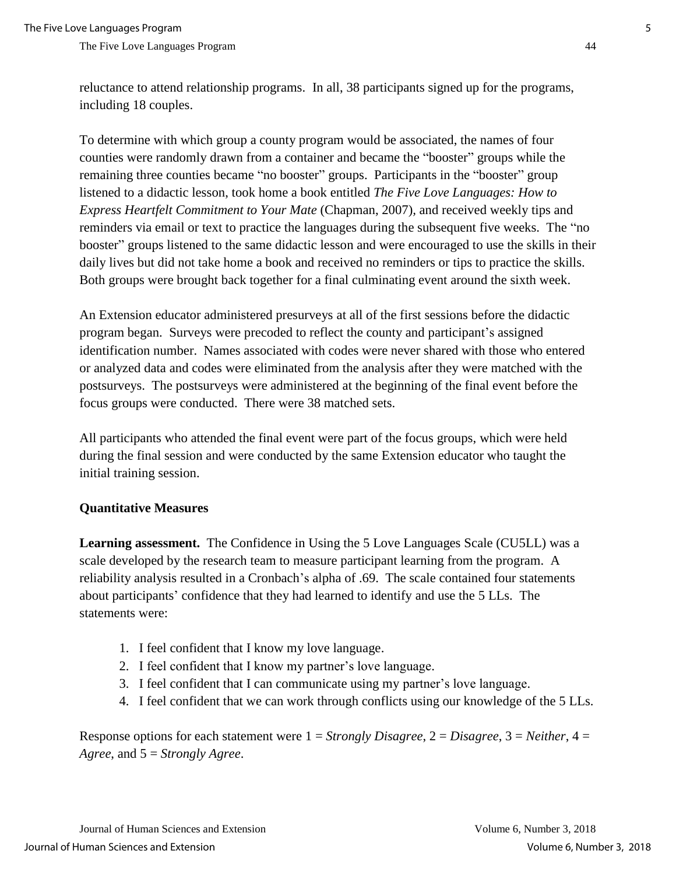The Five Love Languages Program  $\frac{44}{100}$ 

reluctance to attend relationship programs. In all, 38 participants signed up for the programs, including 18 couples.

To determine with which group a county program would be associated, the names of four counties were randomly drawn from a container and became the "booster" groups while the remaining three counties became "no booster" groups. Participants in the "booster" group listened to a didactic lesson, took home a book entitled *The Five Love Languages: How to Express Heartfelt Commitment to Your Mate* (Chapman, 2007)*,* and received weekly tips and reminders via email or text to practice the languages during the subsequent five weeks. The "no booster" groups listened to the same didactic lesson and were encouraged to use the skills in their daily lives but did not take home a book and received no reminders or tips to practice the skills. Both groups were brought back together for a final culminating event around the sixth week.

An Extension educator administered presurveys at all of the first sessions before the didactic program began. Surveys were precoded to reflect the county and participant's assigned identification number. Names associated with codes were never shared with those who entered or analyzed data and codes were eliminated from the analysis after they were matched with the postsurveys. The postsurveys were administered at the beginning of the final event before the focus groups were conducted. There were 38 matched sets.

All participants who attended the final event were part of the focus groups, which were held during the final session and were conducted by the same Extension educator who taught the initial training session.

#### **Quantitative Measures**

**Learning assessment.** The Confidence in Using the 5 Love Languages Scale (CU5LL) was a scale developed by the research team to measure participant learning from the program. A reliability analysis resulted in a Cronbach's alpha of .69. The scale contained four statements about participants' confidence that they had learned to identify and use the 5 LLs. The statements were:

- 1. I feel confident that I know my love language.
- 2. I feel confident that I know my partner's love language.
- 3. I feel confident that I can communicate using my partner's love language.
- 4. I feel confident that we can work through conflicts using our knowledge of the 5 LLs.

Response options for each statement were 1 = *Strongly Disagree*, 2 = *Disagree*, 3 = *Neither*, 4 = *Agree*, and 5 = *Strongly Agree*.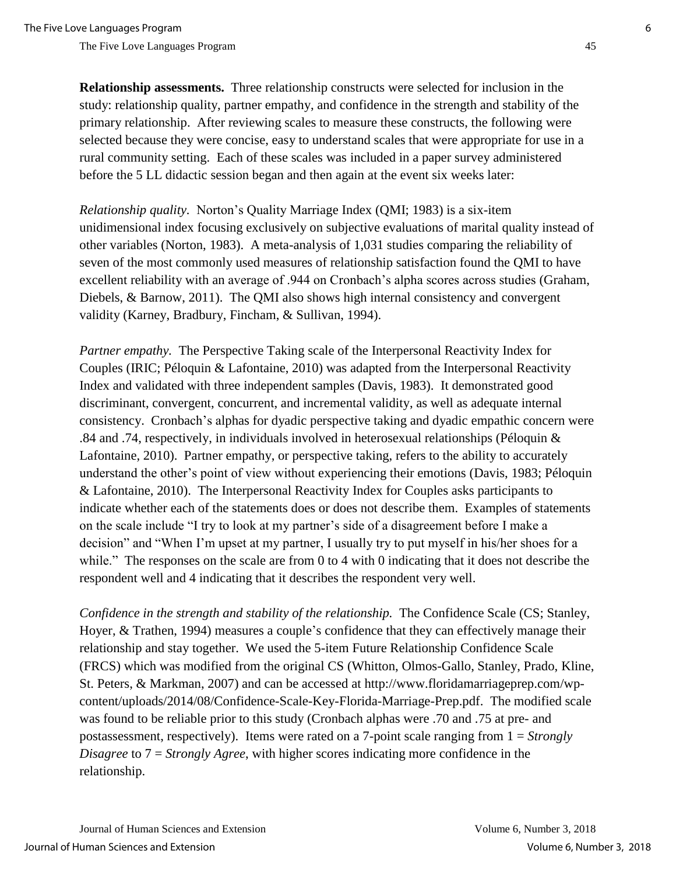**Relationship assessments.** Three relationship constructs were selected for inclusion in the study: relationship quality, partner empathy, and confidence in the strength and stability of the primary relationship. After reviewing scales to measure these constructs, the following were selected because they were concise, easy to understand scales that were appropriate for use in a rural community setting. Each of these scales was included in a paper survey administered before the 5 LL didactic session began and then again at the event six weeks later:

*Relationship quality.* Norton's Quality Marriage Index (QMI; 1983) is a six-item unidimensional index focusing exclusively on subjective evaluations of marital quality instead of other variables (Norton, 1983). A meta-analysis of 1,031 studies comparing the reliability of seven of the most commonly used measures of relationship satisfaction found the QMI to have excellent reliability with an average of .944 on Cronbach's alpha scores across studies (Graham, Diebels, & Barnow, 2011). The QMI also shows high internal consistency and convergent validity (Karney, Bradbury, Fincham, & Sullivan, 1994).

*Partner empathy.* The Perspective Taking scale of the Interpersonal Reactivity Index for Couples (IRIC; Péloquin & Lafontaine, 2010) was adapted from the Interpersonal Reactivity Index and validated with three independent samples (Davis, 1983). It demonstrated good discriminant, convergent, concurrent, and incremental validity, as well as adequate internal consistency. Cronbach's alphas for dyadic perspective taking and dyadic empathic concern were .84 and .74, respectively, in individuals involved in heterosexual relationships (Péloquin & Lafontaine, 2010). Partner empathy, or perspective taking, refers to the ability to accurately understand the other's point of view without experiencing their emotions (Davis, 1983; Péloquin & Lafontaine, 2010). The Interpersonal Reactivity Index for Couples asks participants to indicate whether each of the statements does or does not describe them. Examples of statements on the scale include "I try to look at my partner's side of a disagreement before I make a decision" and "When I'm upset at my partner, I usually try to put myself in his/her shoes for a while." The responses on the scale are from 0 to 4 with 0 indicating that it does not describe the respondent well and 4 indicating that it describes the respondent very well.

*Confidence in the strength and stability of the relationship.* The Confidence Scale (CS; Stanley, Hoyer, & Trathen, 1994) measures a couple's confidence that they can effectively manage their relationship and stay together. We used the 5-item Future Relationship Confidence Scale (FRCS) which was modified from the original CS (Whitton, Olmos-Gallo, Stanley, Prado, Kline, St. Peters, & Markman, 2007) and can be accessed at http://www.floridamarriageprep.com/wpcontent/uploads/2014/08/Confidence-Scale-Key-Florida-Marriage-Prep.pdf. The modified scale was found to be reliable prior to this study (Cronbach alphas were .70 and .75 at pre- and postassessment, respectively). Items were rated on a 7-point scale ranging from 1 = *Strongly Disagree* to 7 = *Strongly Agree*, with higher scores indicating more confidence in the relationship.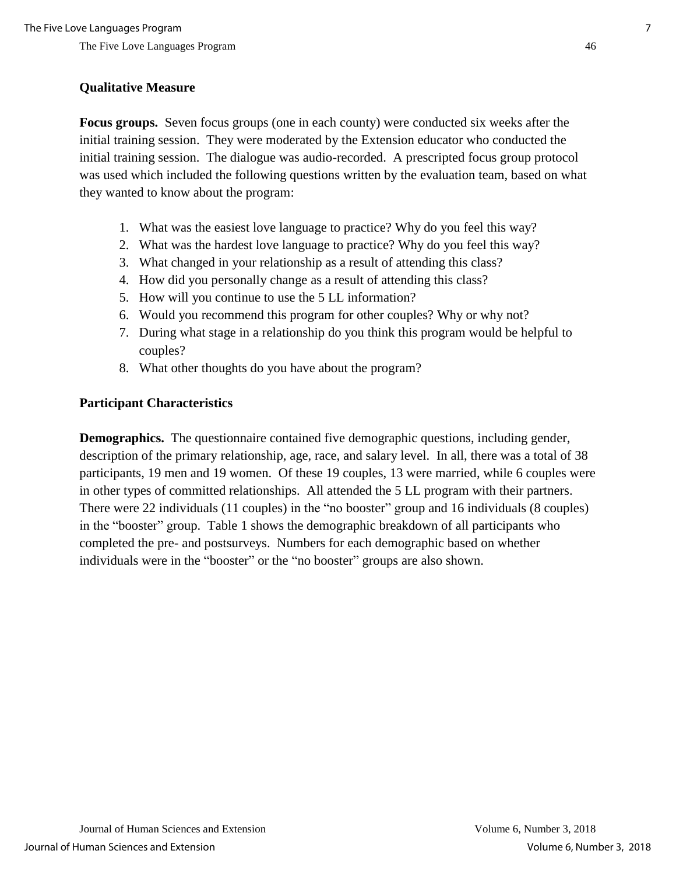## **Qualitative Measure**

**Focus groups.** Seven focus groups (one in each county) were conducted six weeks after the initial training session. They were moderated by the Extension educator who conducted the initial training session. The dialogue was audio-recorded. A prescripted focus group protocol was used which included the following questions written by the evaluation team, based on what they wanted to know about the program:

- 1. What was the easiest love language to practice? Why do you feel this way?
- 2. What was the hardest love language to practice? Why do you feel this way?
- 3. What changed in your relationship as a result of attending this class?
- 4. How did you personally change as a result of attending this class?
- 5. How will you continue to use the 5 LL information?
- 6. Would you recommend this program for other couples? Why or why not?
- 7. During what stage in a relationship do you think this program would be helpful to couples?
- 8. What other thoughts do you have about the program?

## **Participant Characteristics**

**Demographics.** The questionnaire contained five demographic questions, including gender, description of the primary relationship, age, race, and salary level. In all, there was a total of 38 participants, 19 men and 19 women. Of these 19 couples, 13 were married, while 6 couples were in other types of committed relationships. All attended the 5 LL program with their partners. There were 22 individuals (11 couples) in the "no booster" group and 16 individuals (8 couples) in the "booster" group. Table 1 shows the demographic breakdown of all participants who completed the pre- and postsurveys. Numbers for each demographic based on whether individuals were in the "booster" or the "no booster" groups are also shown.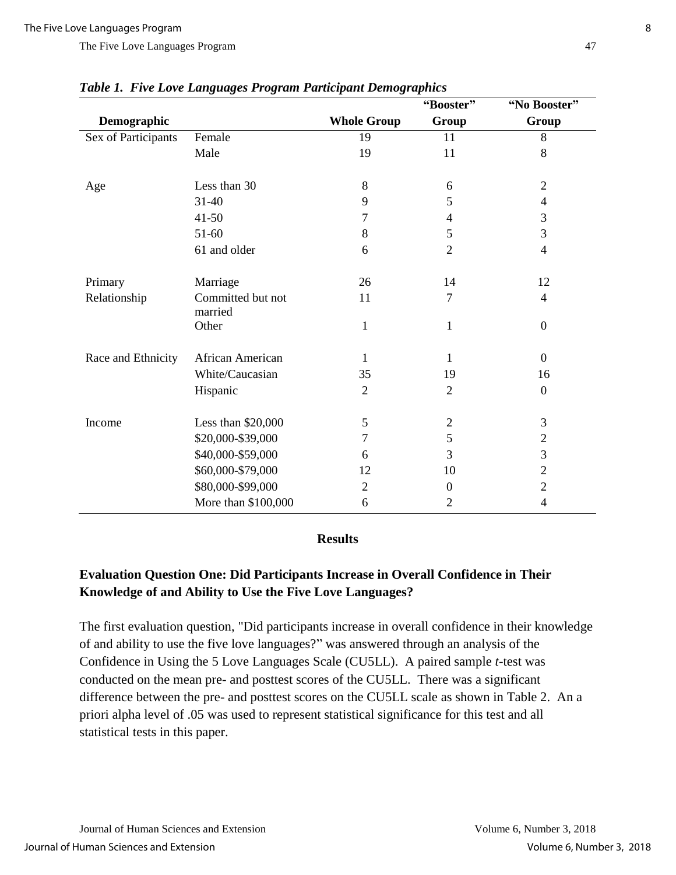|                     |                              |                    | "Booster"      | "No Booster"     |
|---------------------|------------------------------|--------------------|----------------|------------------|
| Demographic         |                              | <b>Whole Group</b> | Group          | Group            |
| Sex of Participants | Female                       | 19                 | 11             | 8                |
|                     | Male                         | 19                 | 11             | 8                |
| Age                 | Less than 30                 | 8                  | 6              | $\overline{2}$   |
|                     | 31-40                        | 9                  | 5              | 4                |
|                     | $41 - 50$                    | 7                  | 4              | 3                |
|                     | 51-60                        | 8                  | 5              | 3                |
|                     | 61 and older                 | 6                  | $\overline{2}$ | $\overline{4}$   |
| Primary             | Marriage                     | 26                 | 14             | 12               |
| Relationship        | Committed but not<br>married | 11                 | 7              | $\overline{4}$   |
|                     | Other                        | $\mathbf{1}$       | 1              | $\boldsymbol{0}$ |
| Race and Ethnicity  | African American             | 1                  | 1              | $\boldsymbol{0}$ |
|                     | White/Caucasian              | 35                 | 19             | 16               |
|                     | Hispanic                     | $\overline{2}$     | $\overline{2}$ | $\boldsymbol{0}$ |
| Income              | Less than \$20,000           | 5                  | $\mathfrak{2}$ | 3                |
|                     | \$20,000-\$39,000            | 7                  | 5              | $\overline{c}$   |
|                     | \$40,000-\$59,000            | 6                  | 3              | 3                |
|                     | \$60,000-\$79,000            | 12                 | 10             | $\overline{2}$   |
|                     | \$80,000-\$99,000            | $\overline{2}$     | $\overline{0}$ | $\overline{c}$   |
|                     | More than \$100,000          | 6                  | $\overline{2}$ | $\overline{4}$   |

#### *Table 1. Five Love Languages Program Participant Demographics*

#### **Results**

## **Evaluation Question One: Did Participants Increase in Overall Confidence in Their Knowledge of and Ability to Use the Five Love Languages?**

The first evaluation question, "Did participants increase in overall confidence in their knowledge of and ability to use the five love languages?" was answered through an analysis of the Confidence in Using the 5 Love Languages Scale (CU5LL). A paired sample *t*-test was conducted on the mean pre- and posttest scores of the CU5LL. There was a significant difference between the pre- and posttest scores on the CU5LL scale as shown in Table 2. An a priori alpha level of .05 was used to represent statistical significance for this test and all statistical tests in this paper.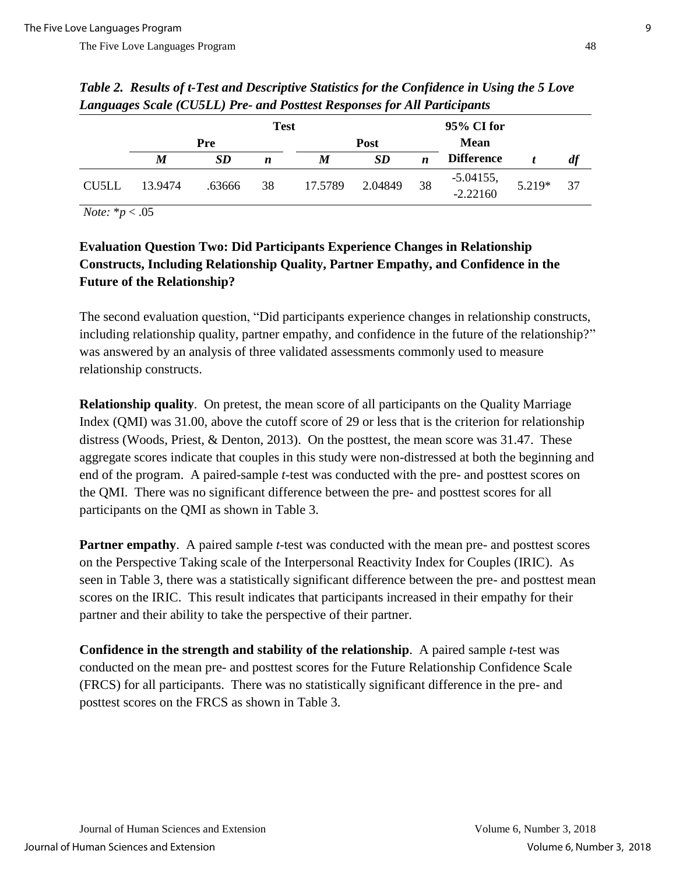|       | <b>Test</b> |           |    |             | 95% CI for |                  |                      |          |    |
|-------|-------------|-----------|----|-------------|------------|------------------|----------------------|----------|----|
|       | <b>Pre</b>  |           |    | <b>Post</b> |            |                  |                      |          |    |
|       | M           | <b>SD</b> | n  | M           | SD         | $\boldsymbol{n}$ | <b>Difference</b>    |          | df |
| CU5LL | 13.9474     | .63666    | 38 | 17.5789     | 2.04849    | 38               | $-5.04155, -2.22160$ | $5.219*$ | 37 |

*Table 2. Results of t-Test and Descriptive Statistics for the Confidence in Using the 5 Love Languages Scale (CU5LL) Pre- and Posttest Responses for All Participants*

*Note:* \**p* < .05

## **Evaluation Question Two: Did Participants Experience Changes in Relationship Constructs, Including Relationship Quality, Partner Empathy, and Confidence in the Future of the Relationship?**

The second evaluation question, "Did participants experience changes in relationship constructs, including relationship quality, partner empathy, and confidence in the future of the relationship?" was answered by an analysis of three validated assessments commonly used to measure relationship constructs.

**Relationship quality**. On pretest, the mean score of all participants on the Quality Marriage Index (QMI) was 31.00, above the cutoff score of 29 or less that is the criterion for relationship distress (Woods, Priest, & Denton, 2013). On the posttest, the mean score was 31.47. These aggregate scores indicate that couples in this study were non-distressed at both the beginning and end of the program. A paired-sample *t*-test was conducted with the pre- and posttest scores on the QMI. There was no significant difference between the pre- and posttest scores for all participants on the QMI as shown in Table 3.

**Partner empathy.** A paired sample *t*-test was conducted with the mean pre- and posttest scores on the Perspective Taking scale of the Interpersonal Reactivity Index for Couples (IRIC). As seen in Table 3, there was a statistically significant difference between the pre- and posttest mean scores on the IRIC. This result indicates that participants increased in their empathy for their partner and their ability to take the perspective of their partner.

**Confidence in the strength and stability of the relationship**. A paired sample *t*-test was conducted on the mean pre- and posttest scores for the Future Relationship Confidence Scale (FRCS) for all participants. There was no statistically significant difference in the pre- and posttest scores on the FRCS as shown in Table 3.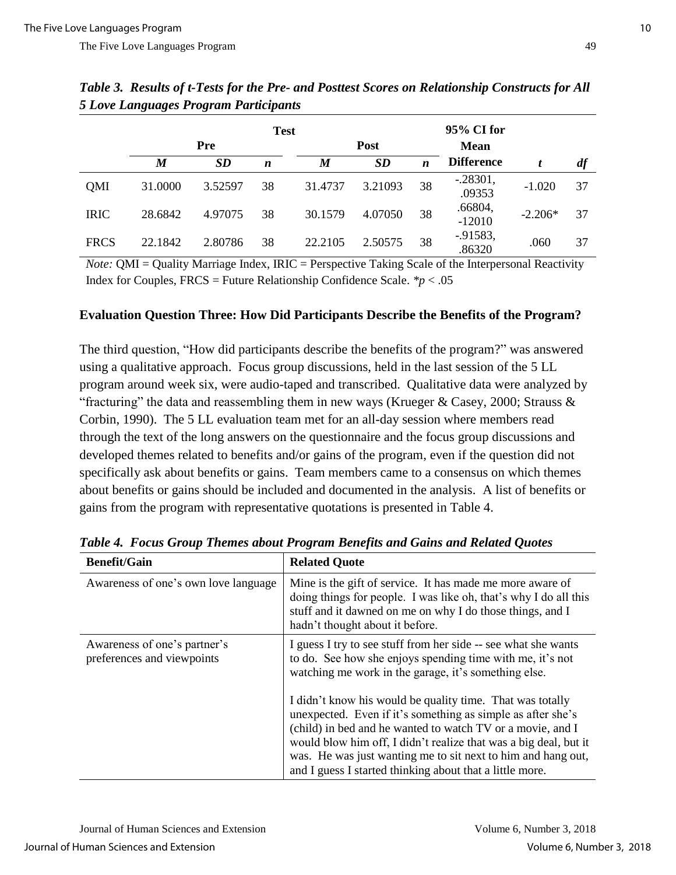|             |                  |            | <b>Test</b>      |         |             |                  | 95% CI for            |           |    |
|-------------|------------------|------------|------------------|---------|-------------|------------------|-----------------------|-----------|----|
|             |                  | <b>Pre</b> |                  |         | <b>Post</b> |                  | <b>Mean</b>           |           |    |
|             | $\boldsymbol{M}$ | SD         | $\boldsymbol{n}$ | M       | <b>SD</b>   | $\boldsymbol{n}$ | <b>Difference</b>     |           | df |
| <b>OMI</b>  | 31.0000          | 3.52597    | 38               | 31.4737 | 3.21093     | 38               | $-.28301,$<br>.09353  | $-1.020$  | 37 |
| <b>IRIC</b> | 28.6842          | 4.97075    | 38               | 30.1579 | 4.07050     | 38               | .66804,<br>$-12010$   | $-2.206*$ | 37 |
| <b>FRCS</b> | 22.1842          | 2.80786    | 38               | 22.2105 | 2.50575     | 38               | $-0.91583,$<br>.86320 | .060      | 37 |

*Table 3. Results of t-Tests for the Pre- and Posttest Scores on Relationship Constructs for All 5 Love Languages Program Participants*

*Note:* QMI = Quality Marriage Index, IRIC = Perspective Taking Scale of the Interpersonal Reactivity Index for Couples,  $FRCS =$  Future Relationship Confidence Scale.  $* p < .05$ 

#### **Evaluation Question Three: How Did Participants Describe the Benefits of the Program?**

The third question, "How did participants describe the benefits of the program?" was answered using a qualitative approach. Focus group discussions, held in the last session of the 5 LL program around week six, were audio-taped and transcribed. Qualitative data were analyzed by "fracturing" the data and reassembling them in new ways (Krueger  $\&$  Casey, 2000; Strauss  $\&$ Corbin, 1990). The 5 LL evaluation team met for an all-day session where members read through the text of the long answers on the questionnaire and the focus group discussions and developed themes related to benefits and/or gains of the program, even if the question did not specifically ask about benefits or gains. Team members came to a consensus on which themes about benefits or gains should be included and documented in the analysis. A list of benefits or gains from the program with representative quotations is presented in Table 4.

| <b>Benefit/Gain</b>                                        | <b>Related Quote</b>                                                                                                                                                                                                                                                                                                                                                                   |
|------------------------------------------------------------|----------------------------------------------------------------------------------------------------------------------------------------------------------------------------------------------------------------------------------------------------------------------------------------------------------------------------------------------------------------------------------------|
| Awareness of one's own love language                       | Mine is the gift of service. It has made me more aware of<br>doing things for people. I was like oh, that's why I do all this<br>stuff and it dawned on me on why I do those things, and I<br>hadn't thought about it before.                                                                                                                                                          |
| Awareness of one's partner's<br>preferences and viewpoints | I guess I try to see stuff from her side -- see what she wants<br>to do. See how she enjoys spending time with me, it's not<br>watching me work in the garage, it's something else.                                                                                                                                                                                                    |
|                                                            | I didn't know his would be quality time. That was totally<br>unexpected. Even if it's something as simple as after she's<br>(child) in bed and he wanted to watch TV or a movie, and I<br>would blow him off, I didn't realize that was a big deal, but it<br>was. He was just wanting me to sit next to him and hang out,<br>and I guess I started thinking about that a little more. |

*Table 4. Focus Group Themes about Program Benefits and Gains and Related Quotes*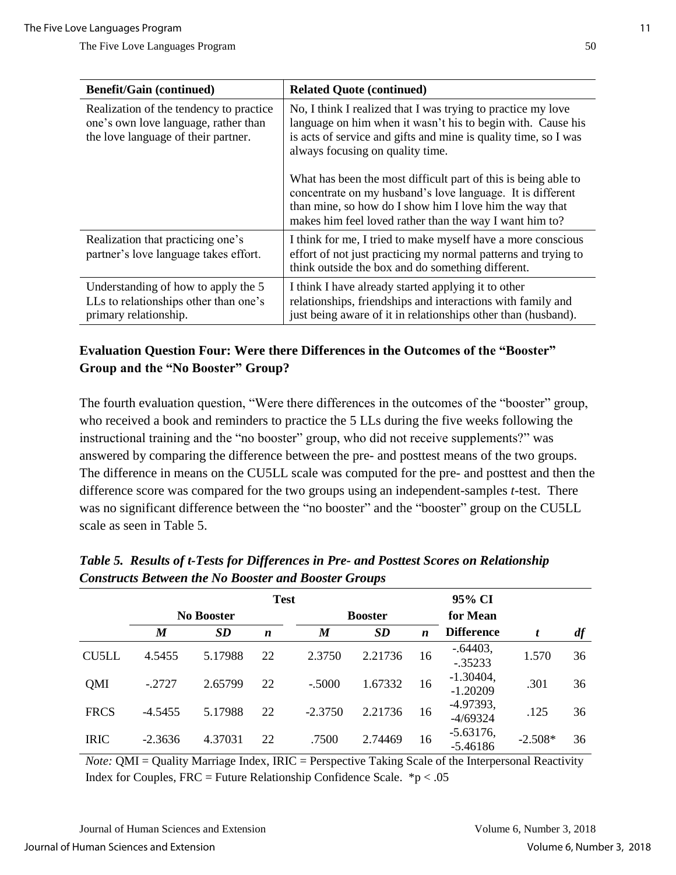| <b>Benefit/Gain (continued)</b>                                                                                        | <b>Related Quote (continued)</b>                                                                                                                                                                                                                   |  |  |  |
|------------------------------------------------------------------------------------------------------------------------|----------------------------------------------------------------------------------------------------------------------------------------------------------------------------------------------------------------------------------------------------|--|--|--|
| Realization of the tendency to practice<br>one's own love language, rather than<br>the love language of their partner. | No, I think I realized that I was trying to practice my love<br>language on him when it wasn't his to begin with. Cause his<br>is acts of service and gifts and mine is quality time, so I was<br>always focusing on quality time.                 |  |  |  |
|                                                                                                                        | What has been the most difficult part of this is being able to<br>concentrate on my husband's love language. It is different<br>than mine, so how do I show him I love him the way that<br>makes him feel loved rather than the way I want him to? |  |  |  |
| Realization that practicing one's<br>partner's love language takes effort.                                             | I think for me, I tried to make myself have a more conscious<br>effort of not just practicing my normal patterns and trying to<br>think outside the box and do something different.                                                                |  |  |  |
| Understanding of how to apply the 5<br>LLs to relationships other than one's<br>primary relationship.                  | I think I have already started applying it to other<br>relationships, friendships and interactions with family and<br>just being aware of it in relationships other than (husband).                                                                |  |  |  |

## **Evaluation Question Four: Were there Differences in the Outcomes of the "Booster" Group and the "No Booster" Group?**

The fourth evaluation question, "Were there differences in the outcomes of the "booster" group, who received a book and reminders to practice the 5 LLs during the five weeks following the instructional training and the "no booster" group, who did not receive supplements?" was answered by comparing the difference between the pre- and posttest means of the two groups. The difference in means on the CU5LL scale was computed for the pre- and posttest and then the difference score was compared for the two groups using an independent-samples *t*-test. There was no significant difference between the "no booster" and the "booster" group on the CU5LL scale as seen in Table 5.

|              |                   |           |                  |                  | <b>A</b> |                  |                           |           |    |
|--------------|-------------------|-----------|------------------|------------------|----------|------------------|---------------------------|-----------|----|
|              | <b>Test</b>       |           |                  |                  |          | 95% CI           |                           |           |    |
|              | <b>No Booster</b> |           |                  | <b>Booster</b>   |          |                  | for Mean                  |           |    |
|              | M                 | <b>SD</b> | $\boldsymbol{n}$ | $\boldsymbol{M}$ | SD       | $\boldsymbol{n}$ | <b>Difference</b>         | t         | df |
| <b>CU5LL</b> | 4.5455            | 5.17988   | 22               | 2.3750           | 2.21736  | 16               | $-.64403,$<br>$-.35233$   | 1.570     | 36 |
| <b>OMI</b>   | $-.2727$          | 2.65799   | 22               | $-.5000$         | 1.67332  | 16               | $-1.30404,$<br>$-1.20209$ | .301      | 36 |
| <b>FRCS</b>  | $-4.5455$         | 5.17988   | 22               | $-2.3750$        | 2.21736  | 16               | $-4.97393,$<br>$-4/69324$ | .125      | 36 |
| <b>IRIC</b>  | $-2.3636$         | 4.37031   | 22               | .7500            | 2.74469  | 16               | $-5.63176,$<br>$-5.46186$ | $-2.508*$ | 36 |

*Table 5. Results of t-Tests for Differences in Pre- and Posttest Scores on Relationship Constructs Between the No Booster and Booster Groups* 

*Note:* OMI = Quality Marriage Index, IRIC = Perspective Taking Scale of the Interpersonal Reactivity Index for Couples, FRC = Future Relationship Confidence Scale.  $*p < .05$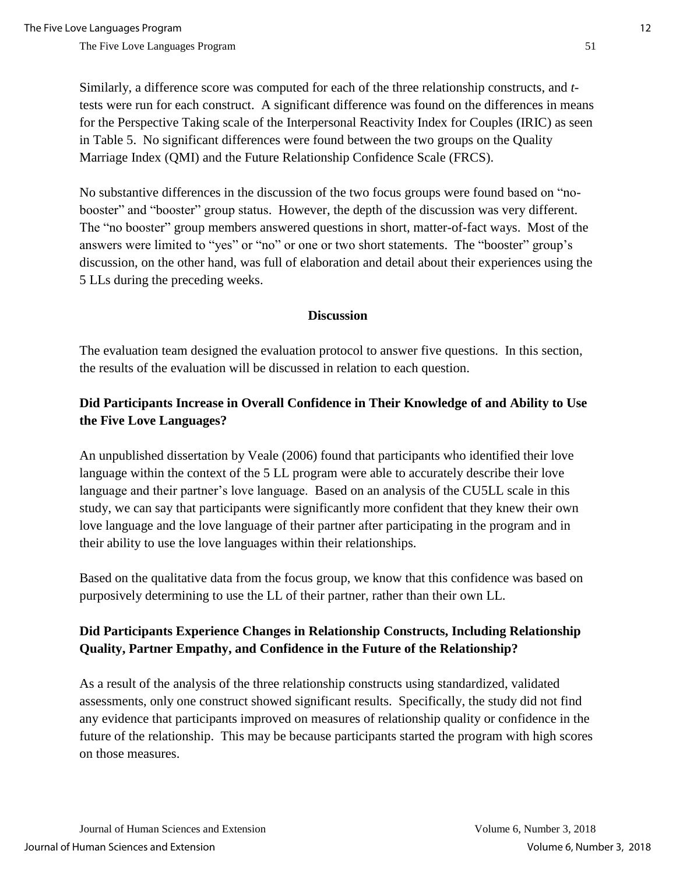Similarly, a difference score was computed for each of the three relationship constructs, and *t*tests were run for each construct. A significant difference was found on the differences in means for the Perspective Taking scale of the Interpersonal Reactivity Index for Couples (IRIC) as seen in Table 5. No significant differences were found between the two groups on the Quality Marriage Index (QMI) and the Future Relationship Confidence Scale (FRCS).

No substantive differences in the discussion of the two focus groups were found based on "nobooster" and "booster" group status. However, the depth of the discussion was very different. The "no booster" group members answered questions in short, matter-of-fact ways. Most of the answers were limited to "yes" or "no" or one or two short statements. The "booster" group's discussion, on the other hand, was full of elaboration and detail about their experiences using the 5 LLs during the preceding weeks.

#### **Discussion**

The evaluation team designed the evaluation protocol to answer five questions. In this section, the results of the evaluation will be discussed in relation to each question.

## **Did Participants Increase in Overall Confidence in Their Knowledge of and Ability to Use the Five Love Languages?**

An unpublished dissertation by Veale (2006) found that participants who identified their love language within the context of the 5 LL program were able to accurately describe their love language and their partner's love language. Based on an analysis of the CU5LL scale in this study, we can say that participants were significantly more confident that they knew their own love language and the love language of their partner after participating in the program and in their ability to use the love languages within their relationships.

Based on the qualitative data from the focus group, we know that this confidence was based on purposively determining to use the LL of their partner, rather than their own LL.

## **Did Participants Experience Changes in Relationship Constructs, Including Relationship Quality, Partner Empathy, and Confidence in the Future of the Relationship?**

As a result of the analysis of the three relationship constructs using standardized, validated assessments, only one construct showed significant results. Specifically, the study did not find any evidence that participants improved on measures of relationship quality or confidence in the future of the relationship. This may be because participants started the program with high scores on those measures.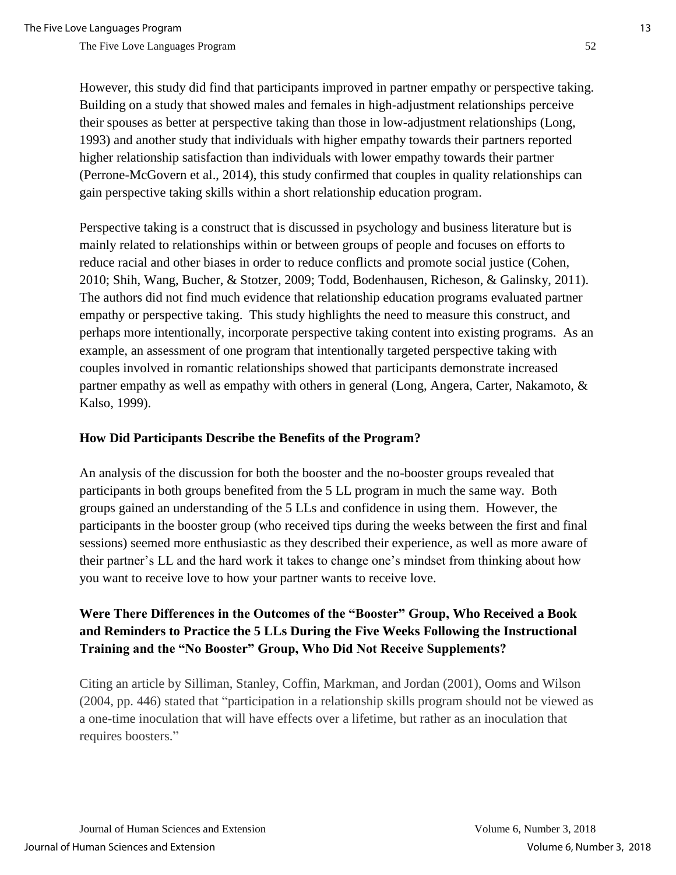However, this study did find that participants improved in partner empathy or perspective taking. Building on a study that showed males and females in high-adjustment relationships perceive their spouses as better at perspective taking than those in low-adjustment relationships (Long, 1993) and another study that individuals with higher empathy towards their partners reported higher relationship satisfaction than individuals with lower empathy towards their partner (Perrone-McGovern et al., 2014), this study confirmed that couples in quality relationships can gain perspective taking skills within a short relationship education program.

Perspective taking is a construct that is discussed in psychology and business literature but is mainly related to relationships within or between groups of people and focuses on efforts to reduce racial and other biases in order to reduce conflicts and promote social justice (Cohen, 2010; Shih, Wang, Bucher, & Stotzer, 2009; Todd, Bodenhausen, Richeson, & Galinsky, 2011). The authors did not find much evidence that relationship education programs evaluated partner empathy or perspective taking. This study highlights the need to measure this construct, and perhaps more intentionally, incorporate perspective taking content into existing programs. As an example, an assessment of one program that intentionally targeted perspective taking with couples involved in romantic relationships showed that participants demonstrate increased partner empathy as well as empathy with others in general (Long, Angera, Carter, Nakamoto, & Kalso, 1999).

#### **How Did Participants Describe the Benefits of the Program?**

An analysis of the discussion for both the booster and the no-booster groups revealed that participants in both groups benefited from the 5 LL program in much the same way. Both groups gained an understanding of the 5 LLs and confidence in using them. However, the participants in the booster group (who received tips during the weeks between the first and final sessions) seemed more enthusiastic as they described their experience, as well as more aware of their partner's LL and the hard work it takes to change one's mindset from thinking about how you want to receive love to how your partner wants to receive love.

## **Were There Differences in the Outcomes of the "Booster" Group, Who Received a Book and Reminders to Practice the 5 LLs During the Five Weeks Following the Instructional Training and the "No Booster" Group, Who Did Not Receive Supplements?**

Citing an article by Silliman, Stanley, Coffin, Markman, and Jordan (2001), Ooms and Wilson (2004, pp. 446) stated that "participation in a relationship skills program should not be viewed as a one-time inoculation that will have effects over a lifetime, but rather as an inoculation that requires boosters."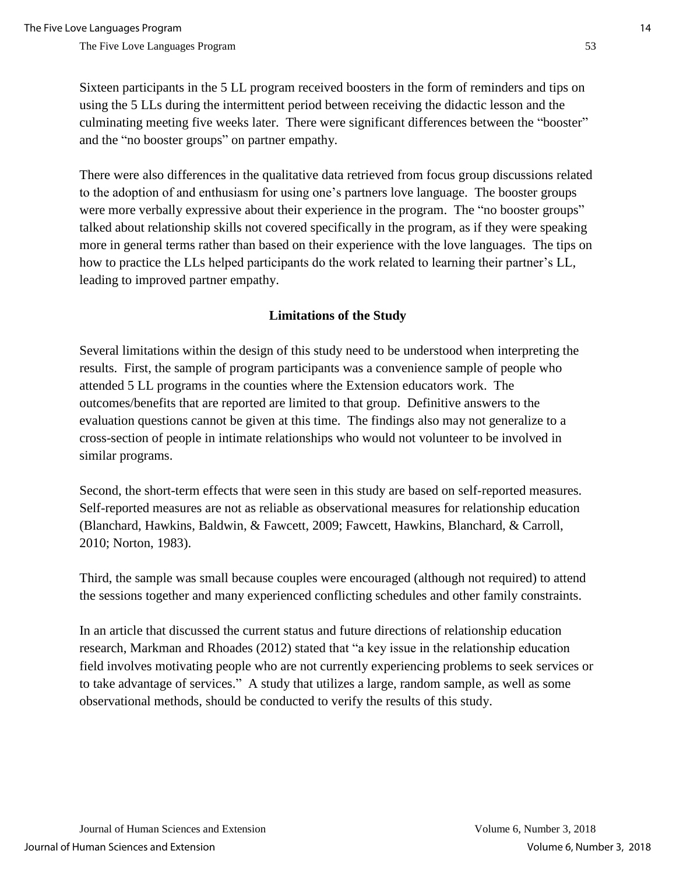Sixteen participants in the 5 LL program received boosters in the form of reminders and tips on using the 5 LLs during the intermittent period between receiving the didactic lesson and the culminating meeting five weeks later. There were significant differences between the "booster" and the "no booster groups" on partner empathy.

There were also differences in the qualitative data retrieved from focus group discussions related to the adoption of and enthusiasm for using one's partners love language. The booster groups were more verbally expressive about their experience in the program. The "no booster groups" talked about relationship skills not covered specifically in the program, as if they were speaking more in general terms rather than based on their experience with the love languages. The tips on how to practice the LLs helped participants do the work related to learning their partner's LL, leading to improved partner empathy.

#### **Limitations of the Study**

Several limitations within the design of this study need to be understood when interpreting the results. First, the sample of program participants was a convenience sample of people who attended 5 LL programs in the counties where the Extension educators work. The outcomes/benefits that are reported are limited to that group. Definitive answers to the evaluation questions cannot be given at this time. The findings also may not generalize to a cross-section of people in intimate relationships who would not volunteer to be involved in similar programs.

Second, the short-term effects that were seen in this study are based on self-reported measures. Self-reported measures are not as reliable as observational measures for relationship education (Blanchard, Hawkins, Baldwin, & Fawcett, 2009; Fawcett, Hawkins, Blanchard, & Carroll, 2010; Norton, 1983).

Third, the sample was small because couples were encouraged (although not required) to attend the sessions together and many experienced conflicting schedules and other family constraints.

In an article that discussed the current status and future directions of relationship education research, Markman and Rhoades (2012) stated that "a key issue in the relationship education field involves motivating people who are not currently experiencing problems to seek services or to take advantage of services." A study that utilizes a large, random sample, as well as some observational methods, should be conducted to verify the results of this study.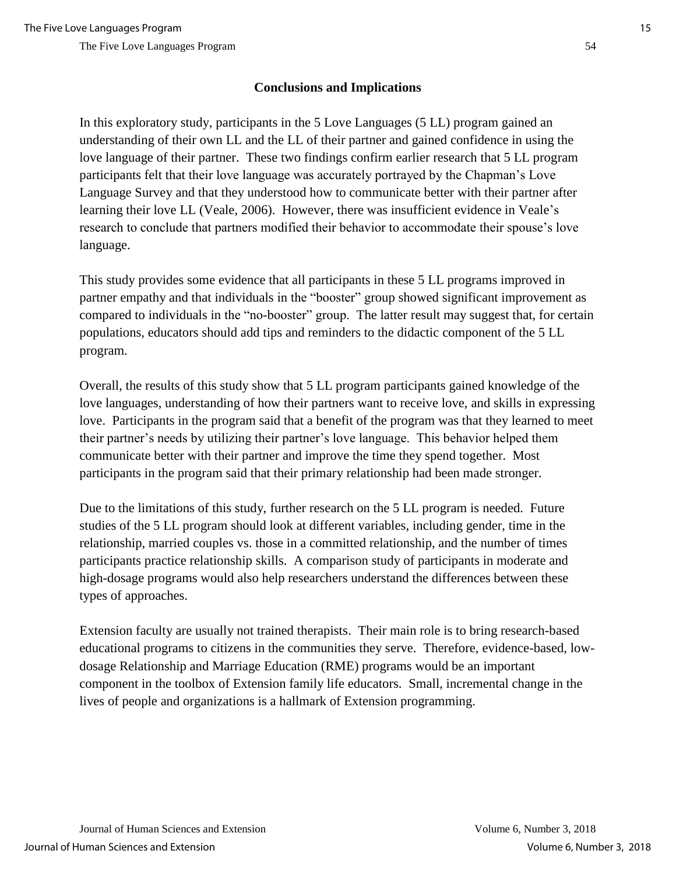## **Conclusions and Implications**

In this exploratory study, participants in the 5 Love Languages (5 LL) program gained an understanding of their own LL and the LL of their partner and gained confidence in using the love language of their partner. These two findings confirm earlier research that 5 LL program participants felt that their love language was accurately portrayed by the Chapman's Love Language Survey and that they understood how to communicate better with their partner after learning their love LL (Veale, 2006). However, there was insufficient evidence in Veale's research to conclude that partners modified their behavior to accommodate their spouse's love language.

This study provides some evidence that all participants in these 5 LL programs improved in partner empathy and that individuals in the "booster" group showed significant improvement as compared to individuals in the "no-booster" group. The latter result may suggest that, for certain populations, educators should add tips and reminders to the didactic component of the 5 LL program.

Overall, the results of this study show that 5 LL program participants gained knowledge of the love languages, understanding of how their partners want to receive love, and skills in expressing love. Participants in the program said that a benefit of the program was that they learned to meet their partner's needs by utilizing their partner's love language. This behavior helped them communicate better with their partner and improve the time they spend together. Most participants in the program said that their primary relationship had been made stronger.

Due to the limitations of this study, further research on the 5 LL program is needed. Future studies of the 5 LL program should look at different variables, including gender, time in the relationship, married couples vs. those in a committed relationship, and the number of times participants practice relationship skills. A comparison study of participants in moderate and high-dosage programs would also help researchers understand the differences between these types of approaches.

Extension faculty are usually not trained therapists. Their main role is to bring research-based educational programs to citizens in the communities they serve. Therefore, evidence-based, lowdosage Relationship and Marriage Education (RME) programs would be an important component in the toolbox of Extension family life educators. Small, incremental change in the lives of people and organizations is a hallmark of Extension programming.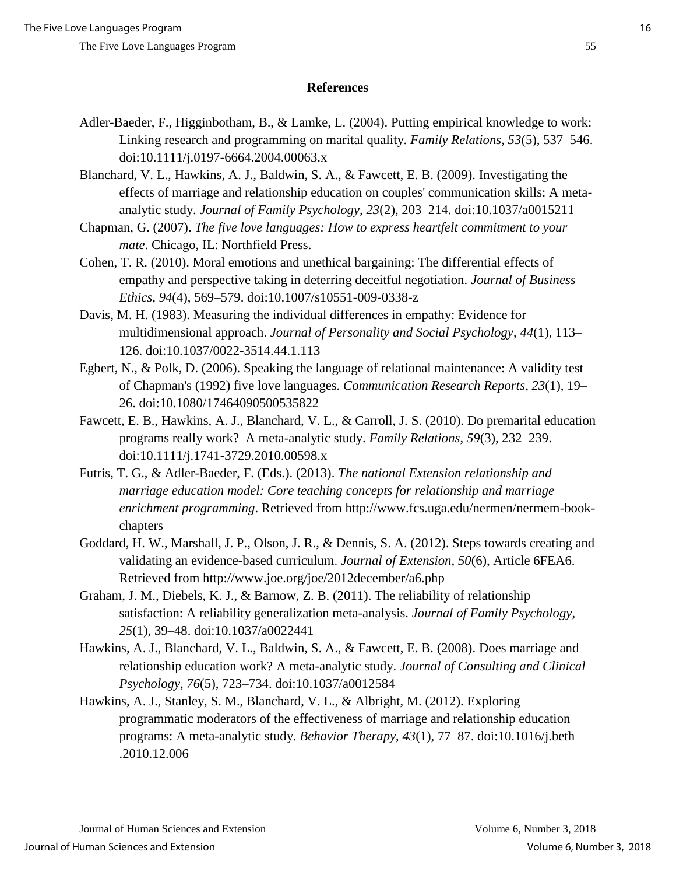#### **References**

- Adler-Baeder, F., Higginbotham, B., & Lamke, L. (2004). Putting empirical knowledge to work: Linking research and programming on marital quality. *Family Relations*, *53*(5), 537–546. doi:10.1111/j.0197-6664.2004.00063.x
- Blanchard, V. L., Hawkins, A. J., Baldwin, S. A., & Fawcett, E. B. (2009). Investigating the effects of marriage and relationship education on couples' communication skills: A metaanalytic study. *Journal of Family Psychology*, *23*(2), 203–214. doi:10.1037/a0015211
- Chapman, G. (2007). *The five love languages: How to express heartfelt commitment to your mate*. Chicago, IL: Northfield Press.
- Cohen, T. R. (2010). Moral emotions and unethical bargaining: The differential effects of empathy and perspective taking in deterring deceitful negotiation. *Journal of Business Ethics, 94*(4), 569–579. doi:10.1007/s10551-009-0338-z
- Davis, M. H. (1983). Measuring the individual differences in empathy: Evidence for multidimensional approach. *Journal of Personality and Social Psychology*, *44*(1), 113– 126. doi:10.1037/0022-3514.44.1.113
- Egbert, N., & Polk, D. (2006). Speaking the language of relational maintenance: A validity test of Chapman's (1992) five love languages. *Communication Research Reports*, *23*(1), 19– 26. doi:10.1080/17464090500535822
- Fawcett, E. B., Hawkins, A. J., Blanchard, V. L., & Carroll, J. S. (2010). Do premarital education programs really work? A meta-analytic study. *Family Relations*, *59*(3), 232–239. doi:10.1111/j.1741-3729.2010.00598.x
- Futris, T. G., & Adler-Baeder, F. (Eds.). (2013). *The national Extension relationship and marriage education model: Core teaching concepts for relationship and marriage enrichment programming*. Retrieved from http://www.fcs.uga.edu/nermen/nermem-bookchapters
- Goddard, H. W., Marshall, J. P., Olson, J. R., & Dennis, S. A. (2012). Steps towards creating and validating an evidence-based curriculum. *Journal of Extension*, *50*(6), Article 6FEA6. Retrieved from http://www.joe.org/joe/2012december/a6.php
- Graham, J. M., Diebels, K. J., & Barnow, Z. B. (2011). The reliability of relationship satisfaction: A reliability generalization meta-analysis. *Journal of Family Psychology*, *25*(1), 39–48. doi:10.1037/a0022441
- Hawkins, A. J., Blanchard, V. L., Baldwin, S. A., & Fawcett, E. B. (2008). Does marriage and relationship education work? A meta-analytic study. *Journal of Consulting and Clinical Psychology*, *76*(5), 723–734. doi:10.1037/a0012584
- Hawkins, A. J., Stanley, S. M., Blanchard, V. L., & Albright, M. (2012). Exploring programmatic moderators of the effectiveness of marriage and relationship education programs: A meta-analytic study. *Behavior Therapy*, *43*(1), 77–87. doi:10.1016/j.beth .2010.12.006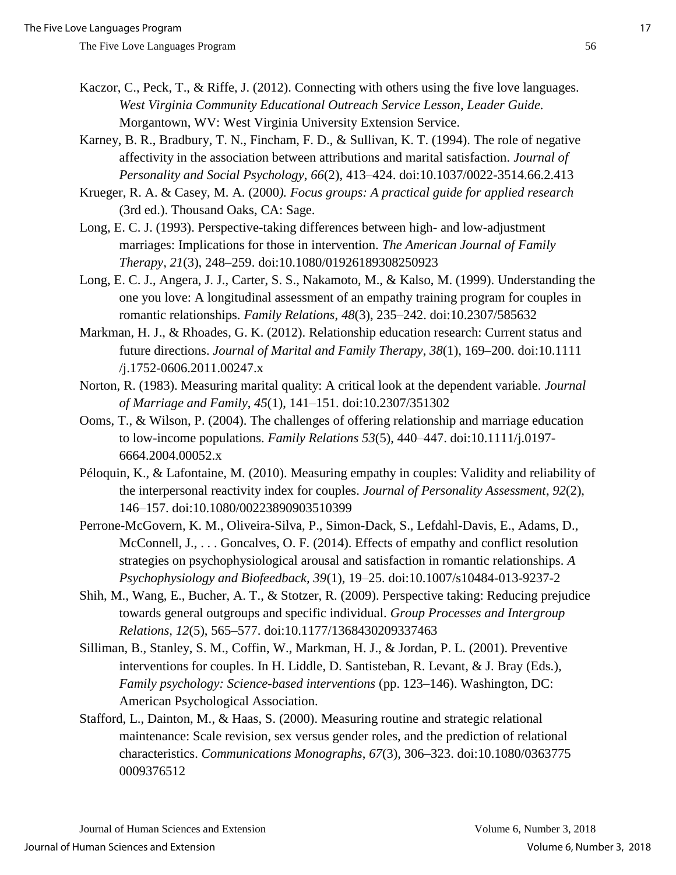- Kaczor, C., Peck, T., & Riffe, J. (2012). Connecting with others using the five love languages. *West Virginia Community Educational Outreach Service Lesson, Leader Guide.* Morgantown, WV: West Virginia University Extension Service.
- Karney, B. R., Bradbury, T. N., Fincham, F. D., & Sullivan, K. T. (1994). The role of negative affectivity in the association between attributions and marital satisfaction. *Journal of Personality and Social Psychology*, *66*(2), 413–424. doi:10.1037/0022-3514.66.2.413
- Krueger, R. A. & Casey, M. A. (2000*). Focus groups: A practical guide for applied research* (3rd ed.). Thousand Oaks, CA: Sage.
- Long, E. C. J. (1993). Perspective-taking differences between high- and low-adjustment marriages: Implications for those in intervention. *The American Journal of Family Therapy, 21*(3), 248–259. doi:10.1080/01926189308250923
- Long, E. C. J., Angera, J. J., Carter, S. S., Nakamoto, M., & Kalso, M. (1999). Understanding the one you love: A longitudinal assessment of an empathy training program for couples in romantic relationships. *Family Relations*, *48*(3), 235–242. doi:10.2307/585632
- Markman, H. J., & Rhoades, G. K. (2012). Relationship education research: Current status and future directions. *Journal of Marital and Family Therapy*, *38*(1), 169–200. doi:10.1111 /j.1752-0606.2011.00247.x
- Norton, R. (1983). Measuring marital quality: A critical look at the dependent variable. *Journal of Marriage and Family*, *45*(1), 141–151. doi:10.2307/351302
- Ooms, T., & Wilson, P. (2004). The challenges of offering relationship and marriage education to low-income populations. *Family Relations 53*(5), 440–447. doi:10.1111/j.0197- 6664.2004.00052.x
- Péloquin, K., & Lafontaine, M. (2010). Measuring empathy in couples: Validity and reliability of the interpersonal reactivity index for couples. *Journal of Personality Assessment*, *92*(2), 146–157. doi:10.1080/00223890903510399
- Perrone-McGovern, K. M., Oliveira-Silva, P., Simon-Dack, S., Lefdahl-Davis, E., Adams, D., McConnell, J., ... Goncalves, O. F. (2014). Effects of empathy and conflict resolution strategies on psychophysiological arousal and satisfaction in romantic relationships. *A Psychophysiology and Biofeedback, 39*(1), 19–25. doi:10.1007/s10484-013-9237-2
- Shih, M., Wang, E., Bucher, A. T., & Stotzer, R. (2009). Perspective taking: Reducing prejudice towards general outgroups and specific individual. *Group Processes and Intergroup Relations, 12*(5), 565–577. doi:10.1177/1368430209337463
- Silliman, B., Stanley, S. M., Coffin, W., Markman, H. J., & Jordan, P. L. (2001). Preventive interventions for couples. In H. Liddle, D. Santisteban, R. Levant, & J. Bray (Eds.), *Family psychology: Science-based interventions* (pp. 123–146). Washington, DC: American Psychological Association.
- Stafford, L., Dainton, M., & Haas, S. (2000). Measuring routine and strategic relational maintenance: Scale revision, sex versus gender roles, and the prediction of relational characteristics. *Communications Monographs*, *67*(3), 306–323. doi:10.1080/0363775 0009376512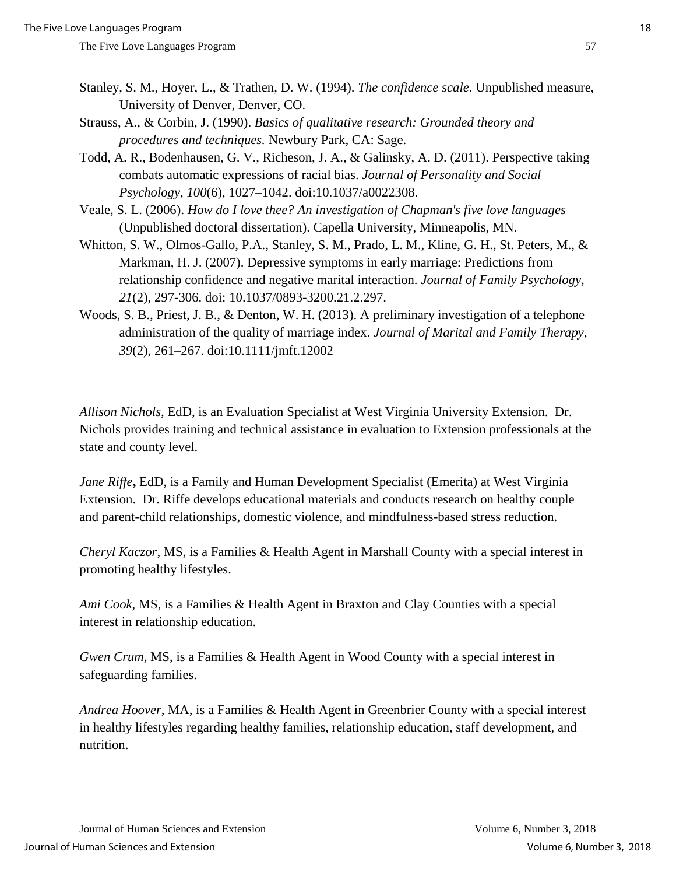- Stanley, S. M., Hoyer, L., & Trathen, D. W. (1994). *The confidence scale*. Unpublished measure, University of Denver, Denver, CO.
- Strauss, A., & Corbin, J. (1990). *Basics of qualitative research: Grounded theory and procedures and techniques.* Newbury Park, CA: Sage.
- Todd, A. R., Bodenhausen, G. V., Richeson, J. A., & Galinsky, A. D. (2011). Perspective taking combats automatic expressions of racial bias. *Journal of Personality and Social Psychology, 100*(6), 1027–1042. doi:10.1037/a0022308.
- Veale, S. L. (2006). *How do I love thee? An investigation of Chapman's five love languages* (Unpublished doctoral dissertation). Capella University, Minneapolis, MN.
- Whitton, S. W., Olmos-Gallo, P.A., Stanley, S. M., Prado, L. M., Kline, G. H., St. Peters, M., & Markman, H. J. (2007). Depressive symptoms in early marriage: Predictions from relationship confidence and negative marital interaction. *Journal of Family Psychology, 21*(2), 297-306. doi: 10.1037/0893-3200.21.2.297.
- Woods, S. B., Priest, J. B., & Denton, W. H. (2013). A preliminary investigation of a telephone administration of the quality of marriage index. *Journal of Marital and Family Therapy*, *39*(2), 261–267. doi:10.1111/jmft.12002

*Allison Nichols,* EdD, is an Evaluation Specialist at West Virginia University Extension. Dr. Nichols provides training and technical assistance in evaluation to Extension professionals at the state and county level.

*Jane Riffe***,** EdD, is a Family and Human Development Specialist (Emerita) at West Virginia Extension. Dr. Riffe develops educational materials and conducts research on healthy couple and parent-child relationships, domestic violence, and mindfulness-based stress reduction.

*Cheryl Kaczor*, MS, is a Families & Health Agent in Marshall County with a special interest in promoting healthy lifestyles.

*Ami Cook*, MS, is a Families & Health Agent in Braxton and Clay Counties with a special interest in relationship education.

*Gwen Crum*, MS, is a Families & Health Agent in Wood County with a special interest in safeguarding families.

*Andrea Hoover*, MA, is a Families & Health Agent in Greenbrier County with a special interest in healthy lifestyles regarding healthy families, relationship education, staff development, and nutrition.